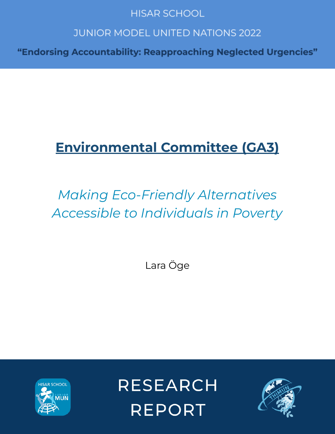# **HISAR SCHOOL**

# **JUNIOR MODEL UNITED NATIONS 2022**

"Endorsing Accountability: Reapproaching Neglected Urgencies"

# **Environmental Committee (GA3)**

# *Making Eco-Friendly Alternatives Accessible to Individuals in Poverty*

Lara Öge



**RESEARCH REPORT** 

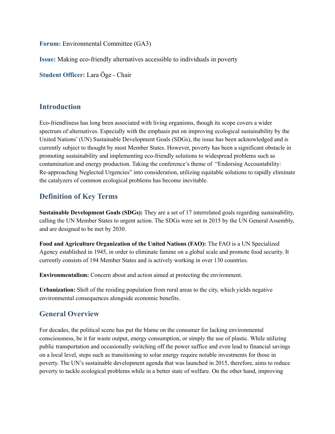**Forum:** Environmental Committee (GA3)

**Issue:** Making eco-friendly alternatives accessible to individuals in poverty

**Student Officer:** Lara Öge - Chair

### **Introduction**

Eco-friendliness has long been associated with living organisms, though its scope covers a wider spectrum of alternatives. Especially with the emphasis put on improving ecological sustainability by the United Nations' (UN) Sustainable Development Goals (SDGs), the issue has been acknowledged and is currently subject to thought by most Member States. However, poverty has been a significant obstacle in promoting sustainability and implementing eco-friendly solutions to widespread problems such as contamination and energy production. Taking the conference's theme of "Endorsing Accountability: Re-approaching Neglected Urgencies" into consideration, utilizing equitable solutions to rapidly eliminate the catalyzers of common ecological problems has become inevitable.

# **Definition of Key Terms**

**Sustainable Development Goals (SDGs):** They are a set of 17 interrelated goals regarding sustainability, calling the UN Member States to urgent action. The SDGs were set in 2015 by the UN General Assembly, and are designed to be met by 2030.

**Food and Agriculture Organization of the United Nations (FAO):** The FAO is a UN Specialized Agency established in 1945, in order to eliminate famine on a global scale and promote food security. It currently consists of 194 Member States and is actively working in over 130 countries.

**Environmentalism:** Concern about and action aimed at protecting the environment.

**Urbanization:** Shift of the residing population from rural areas to the city, which yields negative environmental consequences alongside economic benefits.

## **General Overview**

For decades, the political scene has put the blame on the consumer for lacking environmental consciousness, be it for waste output, energy consumption, or simply the use of plastic. While utilizing public transportation and occasionally switching off the power suffice and even lead to financial savings on a local level, steps such as transitioning to solar energy require notable investments for those in poverty. The UN's sustainable development agenda that was launched in 2015, therefore, aims to reduce poverty to tackle ecological problems while in a better state of welfare. On the other hand, improving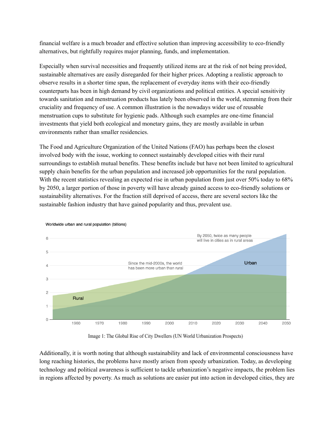financial welfare is a much broader and effective solution than improving accessibility to eco-friendly alternatives, but rightfully requires major planning, funds, and implementation.

Especially when survival necessities and frequently utilized items are at the risk of not being provided, sustainable alternatives are easily disregarded for their higher prices. Adopting a realistic approach to observe results in a shorter time span, the replacement of everyday items with their eco-friendly counterparts has been in high demand by civil organizations and political entities. A special sensitivity towards sanitation and menstruation products has lately been observed in the world, stemming from their cruciality and frequency of use. A common illustration is the nowadays wider use of reusable menstruation cups to substitute for hygienic pads. Although such examples are one-time financial investments that yield both ecological and monetary gains, they are mostly available in urban environments rather than smaller residencies.

The Food and Agriculture Organization of the United Nations (FAO) has perhaps been the closest involved body with the issue, working to connect sustainably developed cities with their rural surroundings to establish mutual benefits. These benefits include but have not been limited to agricultural supply chain benefits for the urban population and increased job opportunities for the rural population. With the recent statistics revealing an expected rise in urban population from just over 50% today to 68% by 2050, a larger portion of those in poverty will have already gained access to eco-friendly solutions or sustainability alternatives. For the fraction still deprived of access, there are several sectors like the sustainable fashion industry that have gained popularity and thus, prevalent use.



Worldwide urban and rural population (billions)

Image 1: The Global Rise of City Dwellers (UN World Urbanization Prospects)

Additionally, it is worth noting that although sustainability and lack of environmental consciousness have long reaching histories, the problems have mostly arisen from speedy urbanization. Today, as developing technology and political awareness is sufficient to tackle urbanization's negative impacts, the problem lies in regions affected by poverty. As much as solutions are easier put into action in developed cities, they are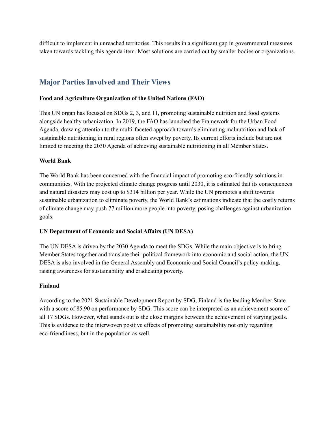difficult to implement in unreached territories. This results in a significant gap in governmental measures taken towards tackling this agenda item. Most solutions are carried out by smaller bodies or organizations.

# **Major Parties Involved and Their Views**

#### **Food and Agriculture Organization of the United Nations (FAO)**

This UN organ has focused on SDGs 2, 3, and 11, promoting sustainable nutrition and food systems alongside healthy urbanization. In 2019, the FAO has launched the Framework for the Urban Food Agenda, drawing attention to the multi-faceted approach towards eliminating malnutrition and lack of sustainable nutritioning in rural regions often swept by poverty. Its current efforts include but are not limited to meeting the 2030 Agenda of achieving sustainable nutritioning in all Member States.

#### **World Bank**

The World Bank has been concerned with the financial impact of promoting eco-friendly solutions in communities. With the projected climate change progress until 2030, it is estimated that its consequences and natural disasters may cost up to \$314 billion per year. While the UN promotes a shift towards sustainable urbanization to eliminate poverty, the World Bank's estimations indicate that the costly returns of climate change may push 77 million more people into poverty, posing challenges against urbanization goals.

#### **UN Department of Economic and Social Affairs (UN DESA)**

The UN DESA is driven by the 2030 Agenda to meet the SDGs. While the main objective is to bring Member States together and translate their political framework into economic and social action, the UN DESA is also involved in the General Assembly and Economic and Social Council's policy-making, raising awareness for sustainability and eradicating poverty.

#### **Finland**

According to the 2021 Sustainable Development Report by SDG, Finland is the leading Member State with a score of 85.90 on performance by SDG. This score can be interpreted as an achievement score of all 17 SDGs. However, what stands out is the close margins between the achievement of varying goals. This is evidence to the interwoven positive effects of promoting sustainability not only regarding eco-friendliness, but in the population as well.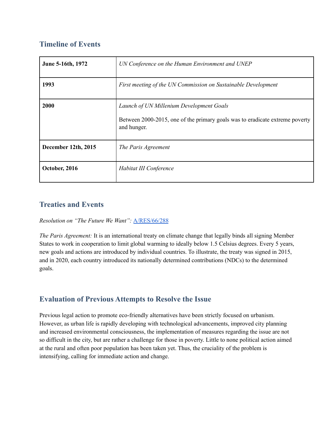# **Timeline of Events**

| June 5-16th, 1972   | UN Conference on the Human Environment and UNEP                                             |
|---------------------|---------------------------------------------------------------------------------------------|
| 1993                | First meeting of the UN Commission on Sustainable Development                               |
| 2000                | Launch of UN Millenium Development Goals                                                    |
|                     | Between 2000-2015, one of the primary goals was to eradicate extreme poverty<br>and hunger. |
| December 12th, 2015 | The Paris Agreement                                                                         |
| October, 2016       | Habitat III Conference                                                                      |

# **Treaties and Events**

*Resolution on "The Future We Want":* [A/RES/66/288](https://www.un.org/en/development/desa/population/migration/generalassembly/docs/globalcompact/A_RES_66_288.pdf)

*The Paris Agreement:* It is an international treaty on climate change that legally binds all signing Member States to work in cooperation to limit global warming to ideally below 1.5 Celsius degrees. Every 5 years, new goals and actions are introduced by individual countries. To illustrate, the treaty was signed in 2015, and in 2020, each country introduced its nationally determined contributions (NDCs) to the determined goals.

# **Evaluation of Previous Attempts to Resolve the Issue**

Previous legal action to promote eco-friendly alternatives have been strictly focused on urbanism. However, as urban life is rapidly developing with technological advancements, improved city planning and increased environmental consciousness, the implementation of measures regarding the issue are not so difficult in the city, but are rather a challenge for those in poverty. Little to none political action aimed at the rural and often poor population has been taken yet. Thus, the cruciality of the problem is intensifying, calling for immediate action and change.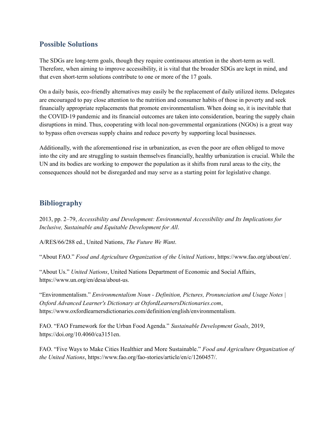## **Possible Solutions**

The SDGs are long-term goals, though they require continuous attention in the short-term as well. Therefore, when aiming to improve accessibility, it is vital that the broader SDGs are kept in mind, and that even short-term solutions contribute to one or more of the 17 goals.

On a daily basis, eco-friendly alternatives may easily be the replacement of daily utilized items. Delegates are encouraged to pay close attention to the nutrition and consumer habits of those in poverty and seek financially appropriate replacements that promote environmentalism. When doing so, it is inevitable that the COVID-19 pandemic and its financial outcomes are taken into consideration, bearing the supply chain disruptions in mind. Thus, cooperating with local non-governmental organizations (NGOs) is a great way to bypass often overseas supply chains and reduce poverty by supporting local businesses.

Additionally, with the aforementioned rise in urbanization, as even the poor are often obliged to move into the city and are struggling to sustain themselves financially, healthy urbanization is crucial. While the UN and its bodies are working to empower the population as it shifts from rural areas to the city, the consequences should not be disregarded and may serve as a starting point for legislative change.

# **Bibliography**

2013, pp. 2–79, *Accessibility and Development: Environmental Accessibility and Its Implications for Inclusive, Sustainable and Equitable Development for All*.

A/RES/66/288 ed., United Nations, *The Future We Want*.

"About FAO." *Food and Agriculture Organization of the United Nations*, https://www.fao.org/about/en/.

"About Us." *United Nations*, United Nations Department of Economic and Social Affairs, https://www.un.org/en/desa/about-us.

"Environmentalism." *Environmentalism Noun - Definition, Pictures, Pronunciation and Usage Notes | Oxford Advanced Learner's Dictionary at OxfordLearnersDictionaries.com*, https://www.oxfordlearnersdictionaries.com/definition/english/environmentalism.

FAO. "FAO Framework for the Urban Food Agenda." *Sustainable Development Goals*, 2019, https://doi.org/10.4060/ca3151en.

FAO. "Five Ways to Make Cities Healthier and More Sustainable." *Food and Agriculture Organization of the United Nations*, https://www.fao.org/fao-stories/article/en/c/1260457/.